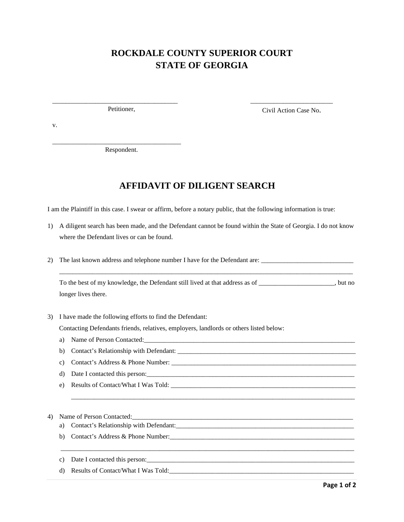## **ROCKDALE COUNTY SUPERIOR COURT STATE OF GEORGIA**

Petitioner,

\_\_\_\_\_\_\_\_\_\_\_\_\_\_\_\_\_\_\_\_\_\_\_\_\_\_\_\_\_\_\_\_\_\_\_\_\_\_

\_\_\_\_\_\_\_\_\_\_\_\_\_\_\_\_\_\_\_\_\_\_\_\_\_ Civil Action Case No.

v.

\_\_\_\_\_\_\_\_\_\_\_\_\_\_\_\_\_\_\_\_\_\_\_\_\_\_\_\_\_\_\_\_\_\_\_\_\_\_\_ Respondent.

## **AFFIDAVIT OF DILIGENT SEARCH**

I am the Plaintiff in this case. I swear or affirm, before a notary public, that the following information is true:

- 1) A diligent search has been made, and the Defendant cannot be found within the State of Georgia. I do not know where the Defendant lives or can be found.
- 2) The last known address and telephone number I have for the Defendant are:

To the best of my knowledge, the Defendant still lived at that address as of \_\_\_\_\_\_\_\_\_\_\_\_\_\_\_\_\_\_\_\_, but no longer lives there.

\_\_\_\_\_\_\_\_\_\_\_\_\_\_\_\_\_\_\_\_\_\_\_\_\_\_\_\_\_\_\_\_\_\_\_\_\_\_\_\_\_\_\_\_\_\_\_\_\_\_\_\_\_\_\_\_\_\_\_\_\_\_\_\_\_\_\_\_\_\_\_\_\_\_\_\_\_\_\_\_\_\_\_\_\_\_

 $\mathcal{L}_\mathcal{L} = \{ \mathcal{L}_\mathcal{L} = \{ \mathcal{L}_\mathcal{L} = \{ \mathcal{L}_\mathcal{L} = \{ \mathcal{L}_\mathcal{L} = \{ \mathcal{L}_\mathcal{L} = \{ \mathcal{L}_\mathcal{L} = \{ \mathcal{L}_\mathcal{L} = \{ \mathcal{L}_\mathcal{L} = \{ \mathcal{L}_\mathcal{L} = \{ \mathcal{L}_\mathcal{L} = \{ \mathcal{L}_\mathcal{L} = \{ \mathcal{L}_\mathcal{L} = \{ \mathcal{L}_\mathcal{L} = \{ \mathcal{L}_\mathcal{$ 

\_\_\_\_\_\_\_\_\_\_\_\_\_\_\_\_\_\_\_\_\_\_\_\_\_\_\_\_\_\_\_\_\_\_\_\_\_\_\_\_\_\_\_\_\_\_\_\_\_\_\_\_\_\_\_\_\_\_\_\_\_\_\_\_\_\_\_\_\_\_\_\_\_\_\_\_\_\_\_\_\_\_\_\_\_\_\_\_\_

3) I have made the following efforts to find the Defendant:

Contacting Defendants friends, relatives, employers, landlords or others listed below:

- a) Name of Person Contacted:
- b) Contact's Relationship with Defendant: \_\_\_\_\_\_\_\_\_\_\_\_\_\_\_\_\_\_\_\_\_\_\_\_\_\_\_\_\_\_\_\_\_\_\_\_\_\_\_\_\_\_\_\_\_\_\_\_\_\_\_\_\_\_
- c) Contact's Address & Phone Number:
- d) Date I contacted this person:
- e) Results of Contact/What I Was Told:

## 4) Name of Person Contacted:\_\_\_\_\_\_\_\_\_\_\_\_\_\_\_\_\_\_\_\_\_\_\_\_\_\_\_\_\_\_\_\_\_\_\_\_\_\_\_\_\_\_\_\_\_\_\_\_\_\_\_\_\_\_\_\_\_\_\_\_\_\_\_\_\_\_\_

- a) Contact's Relationship with Defendant:\_\_\_\_\_\_\_\_\_\_\_\_\_\_\_\_\_\_\_\_\_\_\_\_\_\_\_\_\_\_\_\_\_\_\_\_\_\_\_\_\_\_\_\_\_\_\_\_\_\_\_\_\_\_
- b) Contact's Address & Phone Number:
- c) Date I contacted this person:
- d) Results of Contact/What I Was Told: